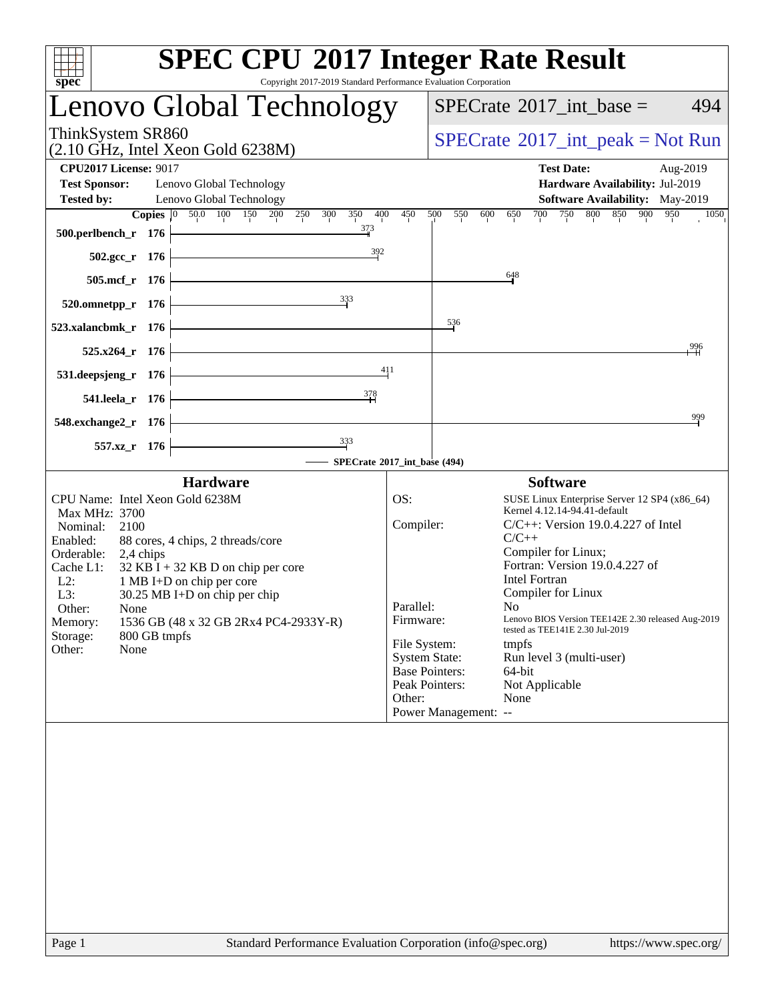| <b>SPEC CPU®2017 Integer Rate Result</b><br>Copyright 2017-2019 Standard Performance Evaluation Corporation<br>spec <sup>®</sup>                                                                                                                                                                                                                                                                                              |                                                      |                                                                                                                                                                                                                                                                                                                                                                                                                                                                                                                                                                                                                                                            |
|-------------------------------------------------------------------------------------------------------------------------------------------------------------------------------------------------------------------------------------------------------------------------------------------------------------------------------------------------------------------------------------------------------------------------------|------------------------------------------------------|------------------------------------------------------------------------------------------------------------------------------------------------------------------------------------------------------------------------------------------------------------------------------------------------------------------------------------------------------------------------------------------------------------------------------------------------------------------------------------------------------------------------------------------------------------------------------------------------------------------------------------------------------------|
| Lenovo Global Technology                                                                                                                                                                                                                                                                                                                                                                                                      |                                                      | 494<br>$SPECrate^{\circ}2017\_int\_base =$                                                                                                                                                                                                                                                                                                                                                                                                                                                                                                                                                                                                                 |
| ThinkSystem SR860<br>$(2.10 \text{ GHz}, \text{Intel Xeon Gold } 6238\text{M})$                                                                                                                                                                                                                                                                                                                                               |                                                      | $SPECrate^{\circledast}2017\_int\_peak = Not Run$                                                                                                                                                                                                                                                                                                                                                                                                                                                                                                                                                                                                          |
| <b>CPU2017 License: 9017</b>                                                                                                                                                                                                                                                                                                                                                                                                  |                                                      | <b>Test Date:</b><br>Aug-2019                                                                                                                                                                                                                                                                                                                                                                                                                                                                                                                                                                                                                              |
| <b>Test Sponsor:</b><br>Lenovo Global Technology<br><b>Tested by:</b><br>Lenovo Global Technology                                                                                                                                                                                                                                                                                                                             |                                                      | Hardware Availability: Jul-2019<br><b>Software Availability:</b> May-2019                                                                                                                                                                                                                                                                                                                                                                                                                                                                                                                                                                                  |
| Copies 0 50.0 100 150 200 250 300 350<br>400                                                                                                                                                                                                                                                                                                                                                                                  | 450                                                  | 750 800 850 900 950<br>500<br>550<br>700<br>1050<br>600<br>650                                                                                                                                                                                                                                                                                                                                                                                                                                                                                                                                                                                             |
| 373<br>500.perlbench_r 176<br><u> 1989 - Johann Barn, mars ann an t-</u><br>$\frac{392}{2}$                                                                                                                                                                                                                                                                                                                                   |                                                      |                                                                                                                                                                                                                                                                                                                                                                                                                                                                                                                                                                                                                                                            |
| $502.\text{gcc}_r$ 176                                                                                                                                                                                                                                                                                                                                                                                                        |                                                      | 648                                                                                                                                                                                                                                                                                                                                                                                                                                                                                                                                                                                                                                                        |
| 505.mcf_r 176<br>333                                                                                                                                                                                                                                                                                                                                                                                                          |                                                      |                                                                                                                                                                                                                                                                                                                                                                                                                                                                                                                                                                                                                                                            |
| $520.0$ mnetpp_r 176                                                                                                                                                                                                                                                                                                                                                                                                          |                                                      |                                                                                                                                                                                                                                                                                                                                                                                                                                                                                                                                                                                                                                                            |
| 523.xalancbmk_r 176                                                                                                                                                                                                                                                                                                                                                                                                           |                                                      | $\frac{536}{5}$                                                                                                                                                                                                                                                                                                                                                                                                                                                                                                                                                                                                                                            |
| $525.x264$ <b>r</b> 176                                                                                                                                                                                                                                                                                                                                                                                                       |                                                      | 996                                                                                                                                                                                                                                                                                                                                                                                                                                                                                                                                                                                                                                                        |
| <u> 1989 - Johann Barn, mars ann an t-Amhair an t-Amhair an t-Amhair an t-Amhair an t-Amhair an t-Amhair an t-Amh</u><br>531.deepsjeng_r 176                                                                                                                                                                                                                                                                                  | 411                                                  |                                                                                                                                                                                                                                                                                                                                                                                                                                                                                                                                                                                                                                                            |
| $\frac{378}{2}$<br><u> 1989 - Johann Barn, mars ann an t-A</u><br>541.leela r 176                                                                                                                                                                                                                                                                                                                                             |                                                      |                                                                                                                                                                                                                                                                                                                                                                                                                                                                                                                                                                                                                                                            |
| <u> 1980 - Johann Barbara, martxa alemaniar a</u><br>548.exchange2_r 176                                                                                                                                                                                                                                                                                                                                                      |                                                      | 999                                                                                                                                                                                                                                                                                                                                                                                                                                                                                                                                                                                                                                                        |
| $\frac{333}{7}$<br>557.xz_r 176                                                                                                                                                                                                                                                                                                                                                                                               |                                                      |                                                                                                                                                                                                                                                                                                                                                                                                                                                                                                                                                                                                                                                            |
| - SPECrate®2017_int_base (494)                                                                                                                                                                                                                                                                                                                                                                                                |                                                      |                                                                                                                                                                                                                                                                                                                                                                                                                                                                                                                                                                                                                                                            |
| <b>Hardware</b><br>CPU Name: Intel Xeon Gold 6238M<br>Max MHz: 3700<br>Nominal:<br>2100<br>Enabled:<br>88 cores, 4 chips, 2 threads/core<br>Orderable:<br>2,4 chips<br>$32$ KB I + 32 KB D on chip per core<br>Cache L1:<br>$L2$ :<br>1 MB I+D on chip per core<br>L3:<br>$30.25$ MB I+D on chip per chip<br>Other:<br>None<br>1536 GB (48 x 32 GB 2Rx4 PC4-2933Y-R)<br>Memory:<br>Storage:<br>800 GB tmpfs<br>None<br>Other: | OS:<br>Compiler:<br>Parallel:<br>Firmware:<br>Other: | <b>Software</b><br>SUSE Linux Enterprise Server 12 SP4 (x86_64)<br>Kernel 4.12.14-94.41-default<br>$C/C++$ : Version 19.0.4.227 of Intel<br>$C/C++$<br>Compiler for Linux;<br>Fortran: Version 19.0.4.227 of<br><b>Intel Fortran</b><br>Compiler for Linux<br>No the set of the set of the set of the set of the set of the set of the set of the set of the set of the set o<br>Lenovo BIOS Version TEE142E 2.30 released Aug-2019<br>tested as TEE141E 2.30 Jul-2019<br>File System:<br>tmpfs<br><b>System State:</b><br>Run level 3 (multi-user)<br><b>Base Pointers:</b><br>64-bit<br>Peak Pointers:<br>Not Applicable<br>None<br>Power Management: -- |
|                                                                                                                                                                                                                                                                                                                                                                                                                               |                                                      |                                                                                                                                                                                                                                                                                                                                                                                                                                                                                                                                                                                                                                                            |
|                                                                                                                                                                                                                                                                                                                                                                                                                               |                                                      |                                                                                                                                                                                                                                                                                                                                                                                                                                                                                                                                                                                                                                                            |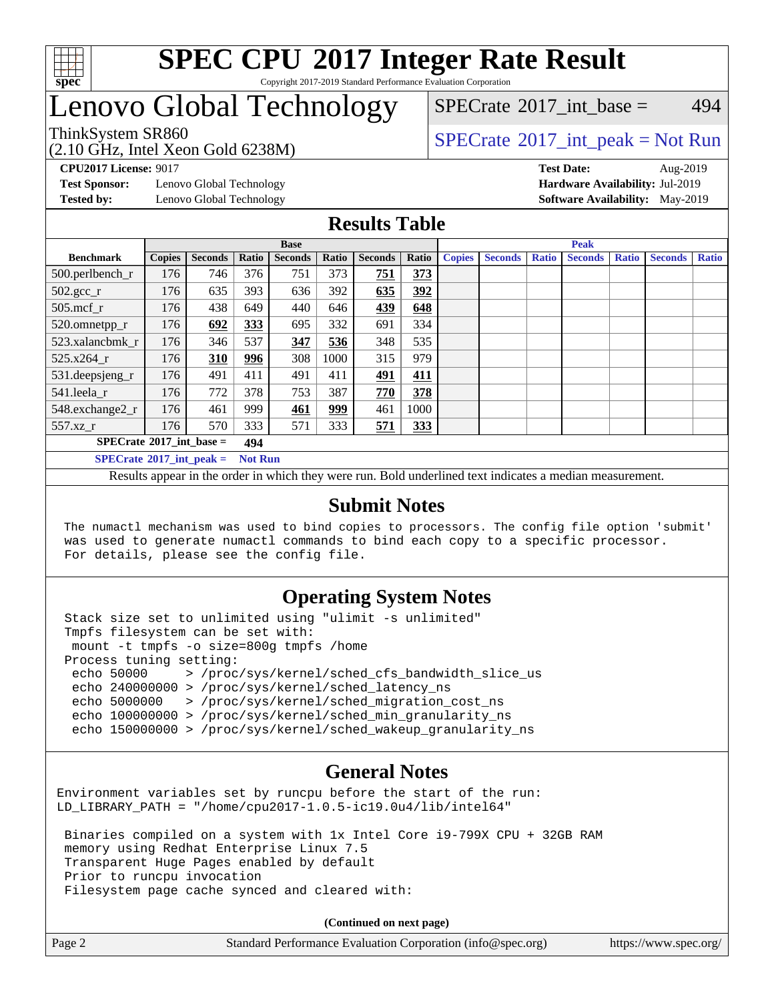

## **[SPEC CPU](http://www.spec.org/auto/cpu2017/Docs/result-fields.html#SPECCPU2017IntegerRateResult)[2017 Integer Rate Result](http://www.spec.org/auto/cpu2017/Docs/result-fields.html#SPECCPU2017IntegerRateResult)** Copyright 2017-2019 Standard Performance Evaluation Corporation

# Lenovo Global Technology

[SPECrate](http://www.spec.org/auto/cpu2017/Docs/result-fields.html#SPECrate2017intbase)<sup>®</sup>2017 int base = 494

## ThinkSystem SR860<br>  $SPECTA = Not Run$ <br>  $SPECTA = Not Run$

**[Test Sponsor:](http://www.spec.org/auto/cpu2017/Docs/result-fields.html#TestSponsor)** Lenovo Global Technology **[Hardware Availability:](http://www.spec.org/auto/cpu2017/Docs/result-fields.html#HardwareAvailability)** Jul-2019

(2.10 GHz, Intel Xeon Gold 6238M)

**[CPU2017 License:](http://www.spec.org/auto/cpu2017/Docs/result-fields.html#CPU2017License)** 9017 **[Test Date:](http://www.spec.org/auto/cpu2017/Docs/result-fields.html#TestDate)** Aug-2019 **[Tested by:](http://www.spec.org/auto/cpu2017/Docs/result-fields.html#Testedby)** Lenovo Global Technology **[Software Availability:](http://www.spec.org/auto/cpu2017/Docs/result-fields.html#SoftwareAvailability)** May-2019

## **[Results Table](http://www.spec.org/auto/cpu2017/Docs/result-fields.html#ResultsTable)**

|                                   | <b>Base</b>   |                |                |                |            | <b>Peak</b>    |       |               |                |              |                |              |                |              |
|-----------------------------------|---------------|----------------|----------------|----------------|------------|----------------|-------|---------------|----------------|--------------|----------------|--------------|----------------|--------------|
| <b>Benchmark</b>                  | <b>Copies</b> | <b>Seconds</b> | Ratio          | <b>Seconds</b> | Ratio      | <b>Seconds</b> | Ratio | <b>Copies</b> | <b>Seconds</b> | <b>Ratio</b> | <b>Seconds</b> | <b>Ratio</b> | <b>Seconds</b> | <b>Ratio</b> |
| 500.perlbench_r                   | 176           | 746            | 376            | 751            | 373        | 751            | 373   |               |                |              |                |              |                |              |
| $502.\text{gcc}$ _r               | 176           | 635            | 393            | 636            | 392        | 635            | 392   |               |                |              |                |              |                |              |
| $505$ .mcf r                      | 176           | 438            | 649            | 440            | 646        | 439            | 648   |               |                |              |                |              |                |              |
| 520.omnetpp_r                     | 176           | 692            | 333            | 695            | 332        | 691            | 334   |               |                |              |                |              |                |              |
| 523.xalancbmk r                   | 176           | 346            | 537            | 347            | 536        | 348            | 535   |               |                |              |                |              |                |              |
| 525.x264 r                        | 176           | 310            | 996            | 308            | 1000       | 315            | 979   |               |                |              |                |              |                |              |
| 531.deepsjeng_r                   | 176           | 491            | 411            | 491            | 411        | 491            | 411   |               |                |              |                |              |                |              |
| 541.leela r                       | 176           | 772            | 378            | 753            | 387        | 770            | 378   |               |                |              |                |              |                |              |
| 548.exchange2_r                   | 176           | 461            | 999            | 461            | <u>999</u> | 461            | 1000  |               |                |              |                |              |                |              |
| 557.xz r                          | 176           | 570            | 333            | 571            | 333        | 571            | 333   |               |                |              |                |              |                |              |
| $SPECrate^{\circ}2017$ int base = |               |                | 494            |                |            |                |       |               |                |              |                |              |                |              |
| $SPECrate^{\circ}2017$ int peak = |               |                | <b>Not Run</b> |                |            |                |       |               |                |              |                |              |                |              |

Results appear in the [order in which they were run](http://www.spec.org/auto/cpu2017/Docs/result-fields.html#RunOrder). Bold underlined text [indicates a median measurement](http://www.spec.org/auto/cpu2017/Docs/result-fields.html#Median).

## **[Submit Notes](http://www.spec.org/auto/cpu2017/Docs/result-fields.html#SubmitNotes)**

 The numactl mechanism was used to bind copies to processors. The config file option 'submit' was used to generate numactl commands to bind each copy to a specific processor. For details, please see the config file.

## **[Operating System Notes](http://www.spec.org/auto/cpu2017/Docs/result-fields.html#OperatingSystemNotes)**

 Stack size set to unlimited using "ulimit -s unlimited" Tmpfs filesystem can be set with: mount -t tmpfs -o size=800g tmpfs /home Process tuning setting: echo 50000 > /proc/sys/kernel/sched\_cfs\_bandwidth\_slice\_us echo 240000000 > /proc/sys/kernel/sched\_latency\_ns echo 5000000 > /proc/sys/kernel/sched\_migration\_cost\_ns echo 100000000 > /proc/sys/kernel/sched\_min\_granularity\_ns echo 150000000 > /proc/sys/kernel/sched\_wakeup\_granularity\_ns

## **[General Notes](http://www.spec.org/auto/cpu2017/Docs/result-fields.html#GeneralNotes)**

Environment variables set by runcpu before the start of the run: LD\_LIBRARY\_PATH = "/home/cpu2017-1.0.5-ic19.0u4/lib/intel64"

 Binaries compiled on a system with 1x Intel Core i9-799X CPU + 32GB RAM memory using Redhat Enterprise Linux 7.5 Transparent Huge Pages enabled by default Prior to runcpu invocation Filesystem page cache synced and cleared with:

**(Continued on next page)**

| Page 2 | Standard Performance Evaluation Corporation (info@spec.org) | https://www.spec.org/ |
|--------|-------------------------------------------------------------|-----------------------|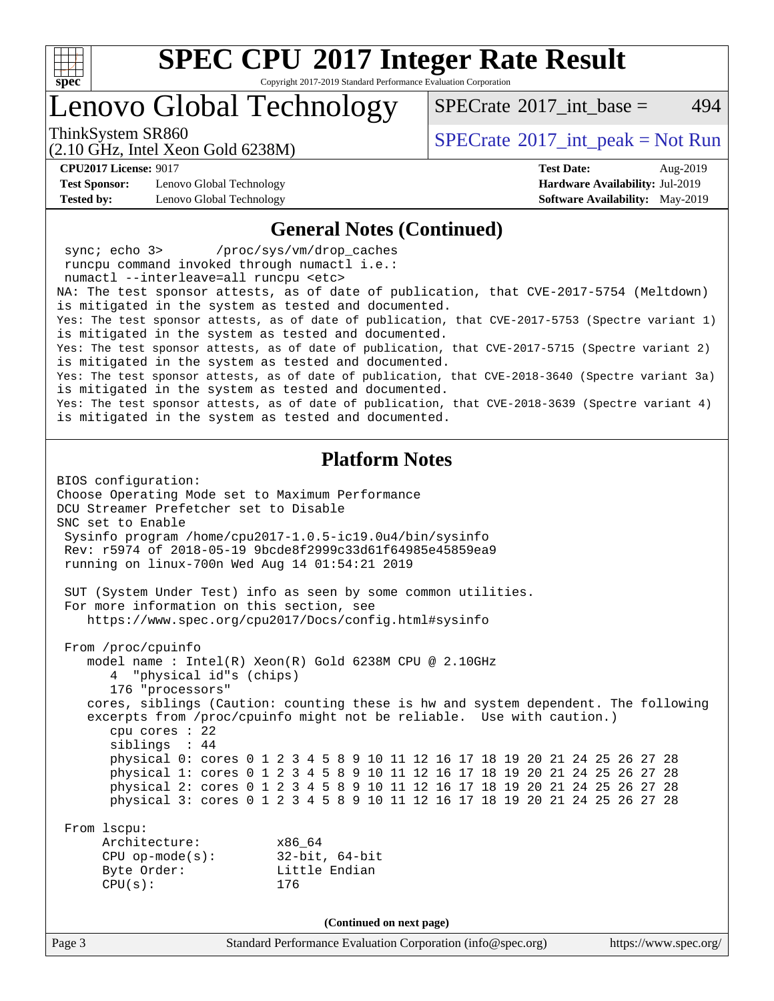

Copyright 2017-2019 Standard Performance Evaluation Corporation

Lenovo Global Technology

[SPECrate](http://www.spec.org/auto/cpu2017/Docs/result-fields.html#SPECrate2017intbase)<sup>®</sup>2017 int base = 494

(2.10 GHz, Intel Xeon Gold 6238M)

ThinkSystem SR860<br>  $SPECTA = Not Run$ <br>  $SPECTA = Not Run$ 

**[CPU2017 License:](http://www.spec.org/auto/cpu2017/Docs/result-fields.html#CPU2017License)** 9017 **[Test Date:](http://www.spec.org/auto/cpu2017/Docs/result-fields.html#TestDate)** Aug-2019

**[Test Sponsor:](http://www.spec.org/auto/cpu2017/Docs/result-fields.html#TestSponsor)** Lenovo Global Technology **[Hardware Availability:](http://www.spec.org/auto/cpu2017/Docs/result-fields.html#HardwareAvailability)** Jul-2019 **[Tested by:](http://www.spec.org/auto/cpu2017/Docs/result-fields.html#Testedby)** Lenovo Global Technology **[Software Availability:](http://www.spec.org/auto/cpu2017/Docs/result-fields.html#SoftwareAvailability)** May-2019

#### **[General Notes \(Continued\)](http://www.spec.org/auto/cpu2017/Docs/result-fields.html#GeneralNotes)**

 sync; echo 3> /proc/sys/vm/drop\_caches runcpu command invoked through numactl i.e.: numactl --interleave=all runcpu <etc> NA: The test sponsor attests, as of date of publication, that CVE-2017-5754 (Meltdown) is mitigated in the system as tested and documented. Yes: The test sponsor attests, as of date of publication, that CVE-2017-5753 (Spectre variant 1) is mitigated in the system as tested and documented. Yes: The test sponsor attests, as of date of publication, that CVE-2017-5715 (Spectre variant 2) is mitigated in the system as tested and documented. Yes: The test sponsor attests, as of date of publication, that CVE-2018-3640 (Spectre variant 3a) is mitigated in the system as tested and documented. Yes: The test sponsor attests, as of date of publication, that CVE-2018-3639 (Spectre variant 4) is mitigated in the system as tested and documented.

## **[Platform Notes](http://www.spec.org/auto/cpu2017/Docs/result-fields.html#PlatformNotes)**

BIOS configuration: Choose Operating Mode set to Maximum Performance DCU Streamer Prefetcher set to Disable SNC set to Enable Sysinfo program /home/cpu2017-1.0.5-ic19.0u4/bin/sysinfo Rev: r5974 of 2018-05-19 9bcde8f2999c33d61f64985e45859ea9 running on linux-700n Wed Aug 14 01:54:21 2019 SUT (System Under Test) info as seen by some common utilities. For more information on this section, see <https://www.spec.org/cpu2017/Docs/config.html#sysinfo> From /proc/cpuinfo model name : Intel(R) Xeon(R) Gold 6238M CPU @ 2.10GHz 4 "physical id"s (chips) 176 "processors" cores, siblings (Caution: counting these is hw and system dependent. The following excerpts from /proc/cpuinfo might not be reliable. Use with caution.) cpu cores : 22 siblings : 44 physical 0: cores 0 1 2 3 4 5 8 9 10 11 12 16 17 18 19 20 21 24 25 26 27 28 physical 1: cores 0 1 2 3 4 5 8 9 10 11 12 16 17 18 19 20 21 24 25 26 27 28 physical 2: cores 0 1 2 3 4 5 8 9 10 11 12 16 17 18 19 20 21 24 25 26 27 28 physical 3: cores 0 1 2 3 4 5 8 9 10 11 12 16 17 18 19 20 21 24 25 26 27 28 From lscpu: Architecture: x86\_64 CPU op-mode(s): 32-bit, 64-bit Byte Order: Little Endian CPU(s): 176 **(Continued on next page)**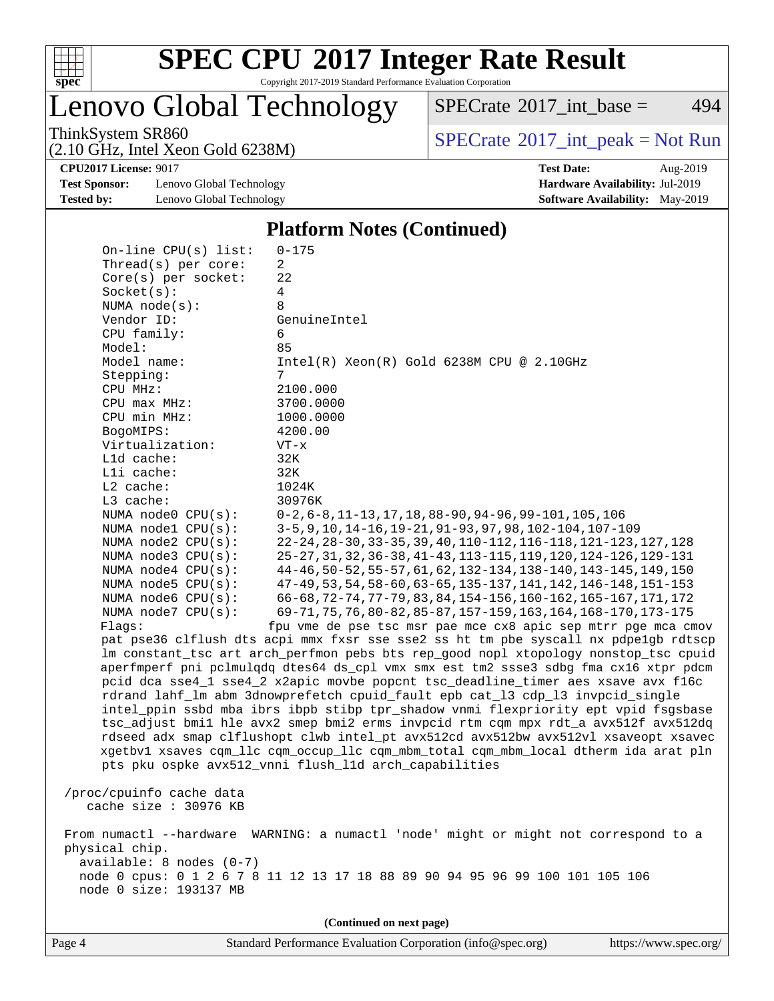

Copyright 2017-2019 Standard Performance Evaluation Corporation

Lenovo Global Technology

 $SPECTate$ <sup>®</sup>[2017\\_int\\_base =](http://www.spec.org/auto/cpu2017/Docs/result-fields.html#SPECrate2017intbase) 494

(2.10 GHz, Intel Xeon Gold 6238M)

ThinkSystem SR860<br>  $(2.10 \text{ GHz. Intel } X_{200}$  Gold 6238M)

**[Test Sponsor:](http://www.spec.org/auto/cpu2017/Docs/result-fields.html#TestSponsor)** Lenovo Global Technology **[Hardware Availability:](http://www.spec.org/auto/cpu2017/Docs/result-fields.html#HardwareAvailability)** Jul-2019 **[Tested by:](http://www.spec.org/auto/cpu2017/Docs/result-fields.html#Testedby)** Lenovo Global Technology **[Software Availability:](http://www.spec.org/auto/cpu2017/Docs/result-fields.html#SoftwareAvailability)** May-2019

**[CPU2017 License:](http://www.spec.org/auto/cpu2017/Docs/result-fields.html#CPU2017License)** 9017 **[Test Date:](http://www.spec.org/auto/cpu2017/Docs/result-fields.html#TestDate)** Aug-2019

## **[Platform Notes \(Continued\)](http://www.spec.org/auto/cpu2017/Docs/result-fields.html#PlatformNotes)**

| On-line $CPU(s)$ list:   | $0 - 175$                                                                            |
|--------------------------|--------------------------------------------------------------------------------------|
| Thread(s) per core:      | 2                                                                                    |
| $Core(s)$ per socket:    | 22                                                                                   |
| Socket(s):               | 4                                                                                    |
| NUMA $node(s):$          | 8                                                                                    |
| Vendor ID:               | GenuineIntel                                                                         |
| CPU family:              | 6                                                                                    |
| Model:                   | 85                                                                                   |
| Model name:              | $Intel(R) Xeon(R) Gold 6238M CPU @ 2.10GHz$                                          |
| Stepping:                | 7                                                                                    |
| CPU MHz:                 | 2100.000                                                                             |
| CPU max MHz:             | 3700.0000                                                                            |
| CPU min MHz:             | 1000.0000                                                                            |
| BogoMIPS:                | 4200.00                                                                              |
| Virtualization:          | $VT - x$                                                                             |
| Lld cache:               | 32K                                                                                  |
| Lli cache:               | 32K                                                                                  |
| $L2$ cache:              | 1024K                                                                                |
| L3 cache:                | 30976K                                                                               |
| NUMA node0 CPU(s):       | $0-2, 6-8, 11-13, 17, 18, 88-90, 94-96, 99-101, 105, 106$                            |
| NUMA nodel CPU(s):       | 3-5, 9, 10, 14-16, 19-21, 91-93, 97, 98, 102-104, 107-109                            |
| NUMA node2 CPU(s):       | 22-24, 28-30, 33-35, 39, 40, 110-112, 116-118, 121-123, 127, 128                     |
| NUMA $node3$ $CPU(s)$ :  | 25-27, 31, 32, 36-38, 41-43, 113-115, 119, 120, 124-126, 129-131                     |
| NUMA node4 CPU(s):       | 44-46, 50-52, 55-57, 61, 62, 132-134, 138-140, 143-145, 149, 150                     |
| NUMA $node5$ $CPU(s):$   | 47-49, 53, 54, 58-60, 63-65, 135-137, 141, 142, 146-148, 151-153                     |
| NUMA node6 CPU(s):       | 66-68, 72-74, 77-79, 83, 84, 154-156, 160-162, 165-167, 171, 172                     |
| NUMA node7 CPU(s):       | 69-71, 75, 76, 80-82, 85-87, 157-159, 163, 164, 168-170, 173-175                     |
| Flags:                   | fpu vme de pse tsc msr pae mce cx8 apic sep mtrr pge mca cmov                        |
|                          | pat pse36 clflush dts acpi mmx fxsr sse sse2 ss ht tm pbe syscall nx pdpelgb rdtscp  |
|                          | lm constant_tsc art arch_perfmon pebs bts rep_good nopl xtopology nonstop_tsc cpuid  |
|                          | aperfmperf pni pclmulqdq dtes64 ds_cpl vmx smx est tm2 ssse3 sdbg fma cx16 xtpr pdcm |
|                          | pcid dca sse4_1 sse4_2 x2apic movbe popcnt tsc_deadline_timer aes xsave avx f16c     |
|                          | rdrand lahf_lm abm 3dnowprefetch cpuid_fault epb cat_13 cdp_13 invpcid_single        |
|                          | intel_ppin ssbd mba ibrs ibpb stibp tpr_shadow vnmi flexpriority ept vpid fsgsbase   |
|                          | tsc_adjust bmil hle avx2 smep bmi2 erms invpcid rtm cqm mpx rdt_a avx512f avx512dq   |
|                          | rdseed adx smap clflushopt clwb intel_pt avx512cd avx512bw avx512vl xsaveopt xsavec  |
|                          | xgetbvl xsaves cqm_llc cqm_occup_llc cqm_mbm_total cqm_mbm_local dtherm ida arat pln |
|                          | pts pku ospke avx512_vnni flush_l1d arch_capabilities                                |
| /proc/cpuinfo cache data |                                                                                      |
| cache size : 30976 KB    |                                                                                      |
|                          |                                                                                      |
|                          | From numactl --hardware WARNING: a numactl 'node' might or might not correspond to a |
| physical chip.           |                                                                                      |
| available: 8 nodes (0-7) |                                                                                      |
|                          | node 0 cpus: 0 1 2 6 7 8 11 12 13 17 18 88 89 90 94 95 96 99 100 101 105 106         |
| node 0 size: 193137 MB   |                                                                                      |
|                          |                                                                                      |
|                          | (Continued on next page)                                                             |
|                          |                                                                                      |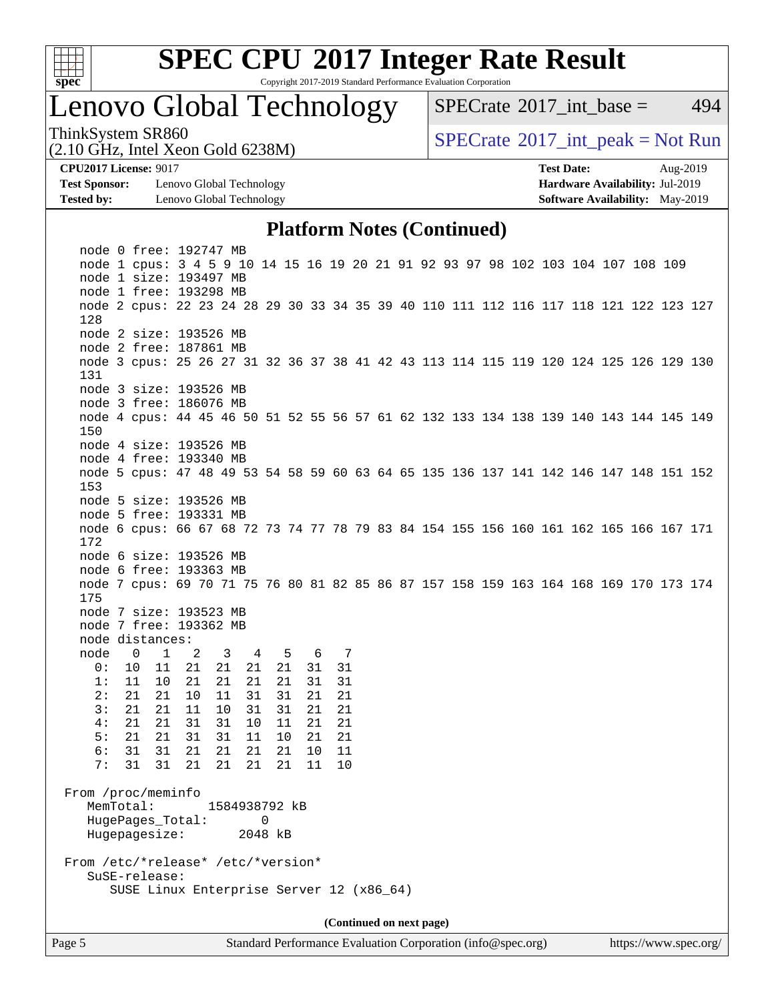

Copyright 2017-2019 Standard Performance Evaluation Corporation

# Lenovo Global Technology

[SPECrate](http://www.spec.org/auto/cpu2017/Docs/result-fields.html#SPECrate2017intbase)<sup>®</sup>2017 int base = 494

(2.10 GHz, Intel Xeon Gold 6238M)

ThinkSystem SR860<br>  $SPECTA = Not Run 2017$  int\_peak = Not Run

**[Test Sponsor:](http://www.spec.org/auto/cpu2017/Docs/result-fields.html#TestSponsor)** Lenovo Global Technology **[Hardware Availability:](http://www.spec.org/auto/cpu2017/Docs/result-fields.html#HardwareAvailability)** Jul-2019 **[Tested by:](http://www.spec.org/auto/cpu2017/Docs/result-fields.html#Testedby)** Lenovo Global Technology **[Software Availability:](http://www.spec.org/auto/cpu2017/Docs/result-fields.html#SoftwareAvailability)** May-2019

**[CPU2017 License:](http://www.spec.org/auto/cpu2017/Docs/result-fields.html#CPU2017License)** 9017 **[Test Date:](http://www.spec.org/auto/cpu2017/Docs/result-fields.html#TestDate)** Aug-2019

## **[Platform Notes \(Continued\)](http://www.spec.org/auto/cpu2017/Docs/result-fields.html#PlatformNotes)**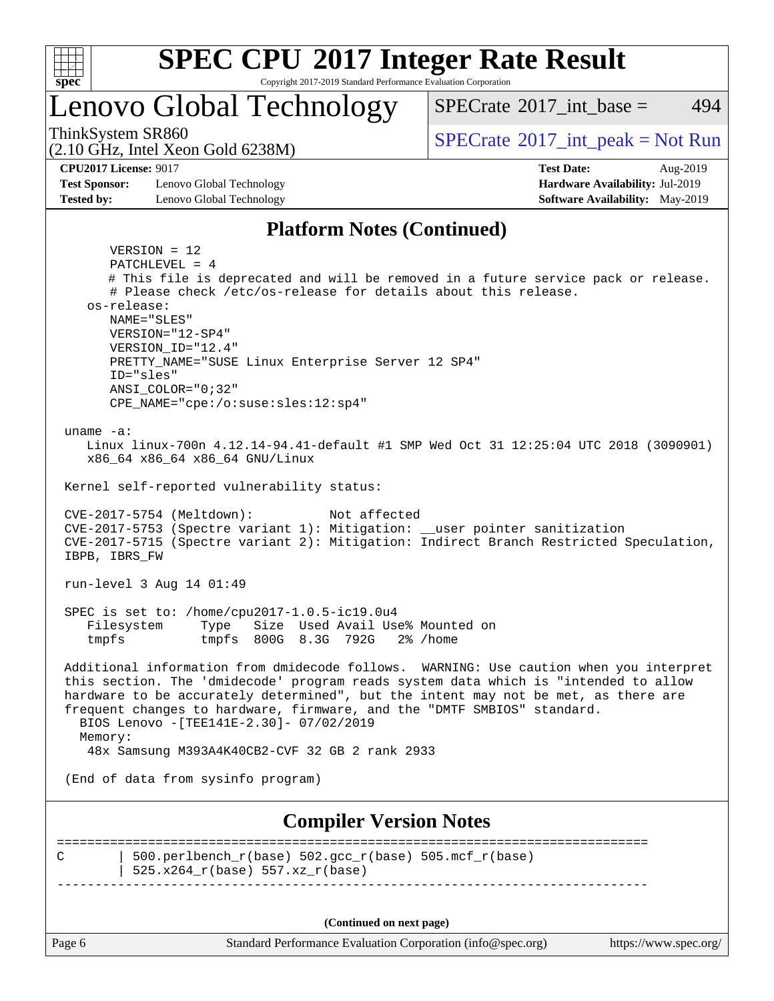

Copyright 2017-2019 Standard Performance Evaluation Corporation

Lenovo Global Technology

ThinkSystem SR860<br>  $SPECTA = Not Run$ <br>  $SPECTA = Not Run$ 

[SPECrate](http://www.spec.org/auto/cpu2017/Docs/result-fields.html#SPECrate2017intbase)<sup>®</sup>2017 int base = 494

(2.10 GHz, Intel Xeon Gold 6238M) **[CPU2017 License:](http://www.spec.org/auto/cpu2017/Docs/result-fields.html#CPU2017License)** 9017 **[Test Date:](http://www.spec.org/auto/cpu2017/Docs/result-fields.html#TestDate)** Aug-2019

**[Test Sponsor:](http://www.spec.org/auto/cpu2017/Docs/result-fields.html#TestSponsor)** Lenovo Global Technology **[Hardware Availability:](http://www.spec.org/auto/cpu2017/Docs/result-fields.html#HardwareAvailability)** Jul-2019 **[Tested by:](http://www.spec.org/auto/cpu2017/Docs/result-fields.html#Testedby)** Lenovo Global Technology **[Software Availability:](http://www.spec.org/auto/cpu2017/Docs/result-fields.html#SoftwareAvailability)** May-2019

## **[Platform Notes \(Continued\)](http://www.spec.org/auto/cpu2017/Docs/result-fields.html#PlatformNotes)**

Page 6 Standard Performance Evaluation Corporation [\(info@spec.org\)](mailto:info@spec.org) <https://www.spec.org/> VERSION = 12 PATCHLEVEL = 4 # This file is deprecated and will be removed in a future service pack or release. # Please check /etc/os-release for details about this release. os-release: NAME="SLES" VERSION="12-SP4" VERSION\_ID="12.4" PRETTY\_NAME="SUSE Linux Enterprise Server 12 SP4" ID="sles" ANSI\_COLOR="0;32" CPE\_NAME="cpe:/o:suse:sles:12:sp4" uname -a: Linux linux-700n 4.12.14-94.41-default #1 SMP Wed Oct 31 12:25:04 UTC 2018 (3090901) x86\_64 x86\_64 x86\_64 GNU/Linux Kernel self-reported vulnerability status: CVE-2017-5754 (Meltdown): Not affected CVE-2017-5753 (Spectre variant 1): Mitigation: \_\_user pointer sanitization CVE-2017-5715 (Spectre variant 2): Mitigation: Indirect Branch Restricted Speculation, IBPB, IBRS\_FW run-level 3 Aug 14 01:49 SPEC is set to: /home/cpu2017-1.0.5-ic19.0u4 Filesystem Type Size Used Avail Use% Mounted on tmpfs tmpfs 800G 8.3G 792G 2% /home Additional information from dmidecode follows. WARNING: Use caution when you interpret this section. The 'dmidecode' program reads system data which is "intended to allow hardware to be accurately determined", but the intent may not be met, as there are frequent changes to hardware, firmware, and the "DMTF SMBIOS" standard. BIOS Lenovo -[TEE141E-2.30]- 07/02/2019 Memory: 48x Samsung M393A4K40CB2-CVF 32 GB 2 rank 2933 (End of data from sysinfo program) **[Compiler Version Notes](http://www.spec.org/auto/cpu2017/Docs/result-fields.html#CompilerVersionNotes)** ============================================================================== C  $\vert$  500.perlbench\_r(base) 502.gcc\_r(base) 505.mcf\_r(base) | 525.x264\_r(base) 557.xz\_r(base) ------------------------------------------------------------------------------ **(Continued on next page)**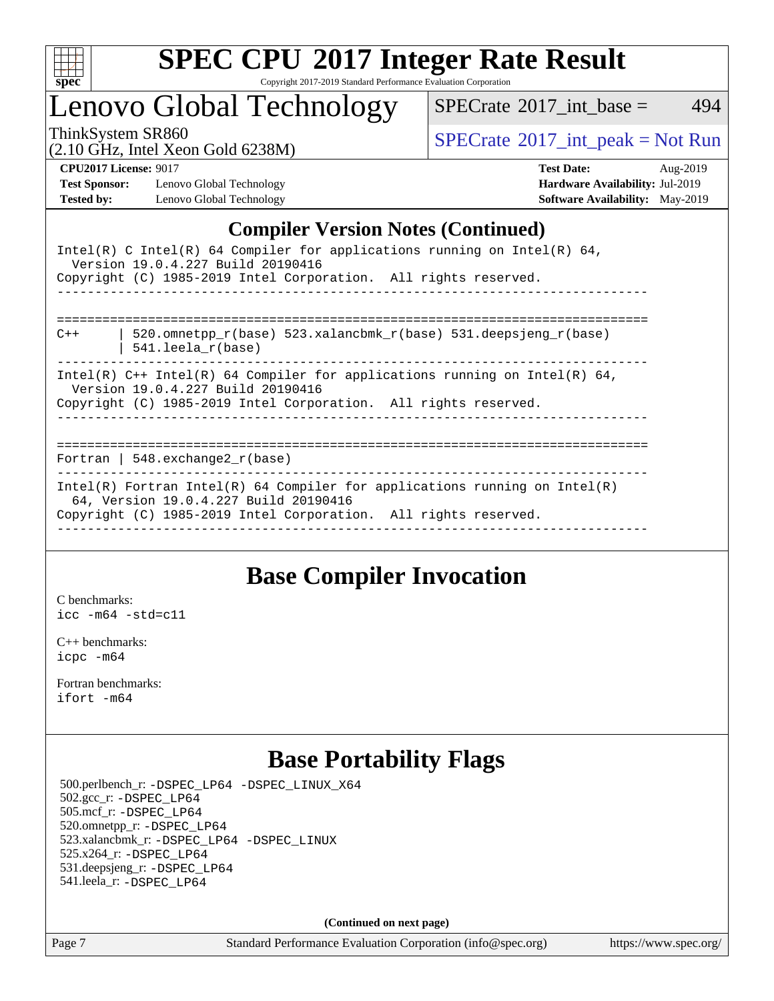

Copyright 2017-2019 Standard Performance Evaluation Corporation

Lenovo Global Technology

 $SPECTate$ <sup>®</sup>[2017\\_int\\_base =](http://www.spec.org/auto/cpu2017/Docs/result-fields.html#SPECrate2017intbase) 494

(2.10 GHz, Intel Xeon Gold 6238M)

ThinkSystem SR860<br>  $(2.10 \text{ GHz. Intel Yoon Gold } 6238M)$  [SPECrate](http://www.spec.org/auto/cpu2017/Docs/result-fields.html#SPECrate2017intpeak)®[2017\\_int\\_peak = N](http://www.spec.org/auto/cpu2017/Docs/result-fields.html#SPECrate2017intpeak)ot Run

**[Test Sponsor:](http://www.spec.org/auto/cpu2017/Docs/result-fields.html#TestSponsor)** Lenovo Global Technology **[Hardware Availability:](http://www.spec.org/auto/cpu2017/Docs/result-fields.html#HardwareAvailability)** Jul-2019 **[Tested by:](http://www.spec.org/auto/cpu2017/Docs/result-fields.html#Testedby)** Lenovo Global Technology **[Software Availability:](http://www.spec.org/auto/cpu2017/Docs/result-fields.html#SoftwareAvailability)** May-2019

**[CPU2017 License:](http://www.spec.org/auto/cpu2017/Docs/result-fields.html#CPU2017License)** 9017 **[Test Date:](http://www.spec.org/auto/cpu2017/Docs/result-fields.html#TestDate)** Aug-2019

## **[Compiler Version Notes \(Continued\)](http://www.spec.org/auto/cpu2017/Docs/result-fields.html#CompilerVersionNotes)**

| Intel(R) C Intel(R) 64 Compiler for applications running on Intel(R) 64,<br>Version 19.0.4.227 Build 20190416<br>Copyright (C) 1985-2019 Intel Corporation. All rights reserved.       |
|----------------------------------------------------------------------------------------------------------------------------------------------------------------------------------------|
| 520.omnetpp $r(base)$ 523.xalancbmk $r(base)$ 531.deepsjeng $r(base)$<br>$C++$<br>$541.$ leela r(base)                                                                                 |
| Intel(R) $C++$ Intel(R) 64 Compiler for applications running on Intel(R) 64,<br>Version 19.0.4.227 Build 20190416<br>Copyright (C) 1985-2019 Intel Corporation. All rights reserved.   |
| Fortran   548.exchange2 $r(base)$                                                                                                                                                      |
| Intel(R) Fortran Intel(R) 64 Compiler for applications running on Intel(R)<br>64, Version 19.0.4.227 Build 20190416<br>Copyright (C) 1985-2019 Intel Corporation. All rights reserved. |

## **[Base Compiler Invocation](http://www.spec.org/auto/cpu2017/Docs/result-fields.html#BaseCompilerInvocation)**

[C benchmarks](http://www.spec.org/auto/cpu2017/Docs/result-fields.html#Cbenchmarks): [icc -m64 -std=c11](http://www.spec.org/cpu2017/results/res2019q3/cpu2017-20190902-17476.flags.html#user_CCbase_intel_icc_64bit_c11_33ee0cdaae7deeeab2a9725423ba97205ce30f63b9926c2519791662299b76a0318f32ddfffdc46587804de3178b4f9328c46fa7c2b0cd779d7a61945c91cd35)

[C++ benchmarks:](http://www.spec.org/auto/cpu2017/Docs/result-fields.html#CXXbenchmarks) [icpc -m64](http://www.spec.org/cpu2017/results/res2019q3/cpu2017-20190902-17476.flags.html#user_CXXbase_intel_icpc_64bit_4ecb2543ae3f1412ef961e0650ca070fec7b7afdcd6ed48761b84423119d1bf6bdf5cad15b44d48e7256388bc77273b966e5eb805aefd121eb22e9299b2ec9d9)

[Fortran benchmarks](http://www.spec.org/auto/cpu2017/Docs/result-fields.html#Fortranbenchmarks): [ifort -m64](http://www.spec.org/cpu2017/results/res2019q3/cpu2017-20190902-17476.flags.html#user_FCbase_intel_ifort_64bit_24f2bb282fbaeffd6157abe4f878425411749daecae9a33200eee2bee2fe76f3b89351d69a8130dd5949958ce389cf37ff59a95e7a40d588e8d3a57e0c3fd751)

## **[Base Portability Flags](http://www.spec.org/auto/cpu2017/Docs/result-fields.html#BasePortabilityFlags)**

 500.perlbench\_r: [-DSPEC\\_LP64](http://www.spec.org/cpu2017/results/res2019q3/cpu2017-20190902-17476.flags.html#b500.perlbench_r_basePORTABILITY_DSPEC_LP64) [-DSPEC\\_LINUX\\_X64](http://www.spec.org/cpu2017/results/res2019q3/cpu2017-20190902-17476.flags.html#b500.perlbench_r_baseCPORTABILITY_DSPEC_LINUX_X64) 502.gcc\_r: [-DSPEC\\_LP64](http://www.spec.org/cpu2017/results/res2019q3/cpu2017-20190902-17476.flags.html#suite_basePORTABILITY502_gcc_r_DSPEC_LP64) 505.mcf\_r: [-DSPEC\\_LP64](http://www.spec.org/cpu2017/results/res2019q3/cpu2017-20190902-17476.flags.html#suite_basePORTABILITY505_mcf_r_DSPEC_LP64) 520.omnetpp\_r: [-DSPEC\\_LP64](http://www.spec.org/cpu2017/results/res2019q3/cpu2017-20190902-17476.flags.html#suite_basePORTABILITY520_omnetpp_r_DSPEC_LP64) 523.xalancbmk\_r: [-DSPEC\\_LP64](http://www.spec.org/cpu2017/results/res2019q3/cpu2017-20190902-17476.flags.html#suite_basePORTABILITY523_xalancbmk_r_DSPEC_LP64) [-DSPEC\\_LINUX](http://www.spec.org/cpu2017/results/res2019q3/cpu2017-20190902-17476.flags.html#b523.xalancbmk_r_baseCXXPORTABILITY_DSPEC_LINUX) 525.x264\_r: [-DSPEC\\_LP64](http://www.spec.org/cpu2017/results/res2019q3/cpu2017-20190902-17476.flags.html#suite_basePORTABILITY525_x264_r_DSPEC_LP64) 531.deepsjeng\_r: [-DSPEC\\_LP64](http://www.spec.org/cpu2017/results/res2019q3/cpu2017-20190902-17476.flags.html#suite_basePORTABILITY531_deepsjeng_r_DSPEC_LP64) 541.leela\_r: [-DSPEC\\_LP64](http://www.spec.org/cpu2017/results/res2019q3/cpu2017-20190902-17476.flags.html#suite_basePORTABILITY541_leela_r_DSPEC_LP64)

**(Continued on next page)**

Page 7 Standard Performance Evaluation Corporation [\(info@spec.org\)](mailto:info@spec.org) <https://www.spec.org/>